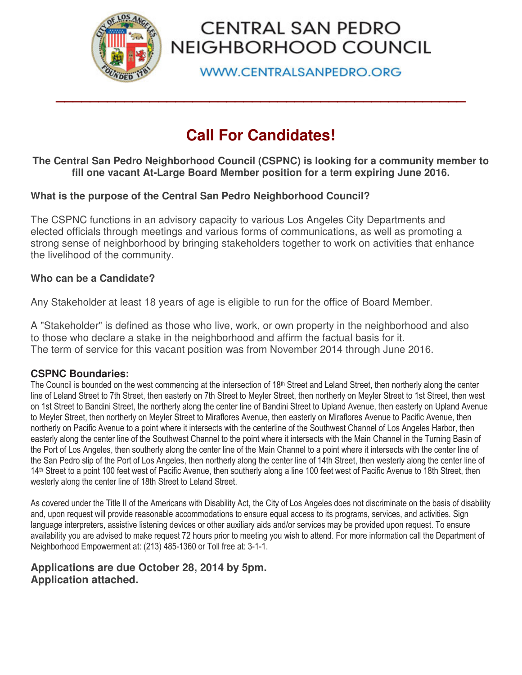

# CENTRAL SAN PEDRO NEIGHBORHOOD COUNCIL

**WWW.CENTRALSANPEDRO.ORG** 

# **Call For Candidates!**

**\_\_\_\_\_\_\_\_\_\_\_\_\_\_\_\_\_\_\_\_\_\_\_\_\_\_\_\_\_\_\_\_\_\_\_\_\_\_\_\_\_\_\_\_\_\_\_\_** 

### **The Central San Pedro Neighborhood Council (CSPNC) is looking for a community member to fill one vacant At-Large Board Member position for a term expiring June 2016.**

## **What is the purpose of the Central San Pedro Neighborhood Council?**

The CSPNC functions in an advisory capacity to various Los Angeles City Departments and elected officials through meetings and various forms of communications, as well as promoting a strong sense of neighborhood by bringing stakeholders together to work on activities that enhance the livelihood of the community.

### **Who can be a Candidate?**

Any Stakeholder at least 18 years of age is eligible to run for the office of Board Member.

A "Stakeholder" is defined as those who live, work, or own property in the neighborhood and also to those who declare a stake in the neighborhood and affirm the factual basis for it. The term of service for this vacant position was from November 2014 through June 2016.

#### **CSPNC Boundaries:**

The Council is bounded on the west commencing at the intersection of 18<sup>th</sup> Street and Leland Street, then northerly along the center line of Leland Street to 7th Street, then easterly on 7th Street to Meyler Street, then northerly on Meyler Street to 1st Street, then west on 1st Street to Bandini Street, the northerly along the center line of Bandini Street to Upland Avenue, then easterly on Upland Avenue to Meyler Street, then northerly on Meyler Street to Miraflores Avenue, then easterly on Miraflores Avenue to Pacific Avenue, then northerly on Pacific Avenue to a point where it intersects with the centerline of the Southwest Channel of Los Angeles Harbor, then easterly along the center line of the Southwest Channel to the point where it intersects with the Main Channel in the Turning Basin of the Port of Los Angeles, then southerly along the center line of the Main Channel to a point where it intersects with the center line of the San Pedro slip of the Port of Los Angeles, then northerly along the center line of 14th Street, then westerly along the center line of 14<sup>th</sup> Street to a point 100 feet west of Pacific Avenue, then southerly along a line 100 feet west of Pacific Avenue to 18th Street, then westerly along the center line of 18th Street to Leland Street.

As covered under the Title II of the Americans with Disability Act, the City of Los Angeles does not discriminate on the basis of disability and, upon request will provide reasonable accommodations to ensure equal access to its programs, services, and activities. Sign language interpreters, assistive listening devices or other auxiliary aids and/or services may be provided upon request. To ensure availability you are advised to make request 72 hours prior to meeting you wish to attend. For more information call the Department of Neighborhood Empowerment at: (213) 485-1360 or Toll free at: 3-1-1.

### **Applications are due October 28, 2014 by 5pm. Application attached.**